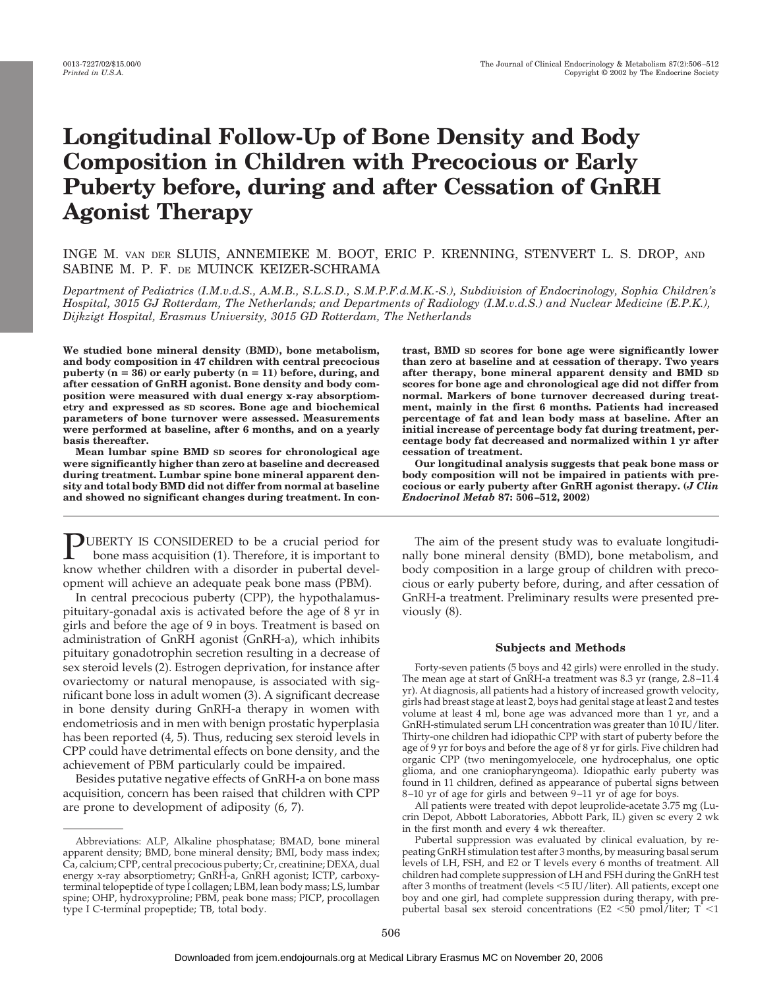# **Longitudinal Follow-Up of Bone Density and Body Composition in Children with Precocious or Early Puberty before, during and after Cessation of GnRH Agonist Therapy**

## INGE M. VAN DER SLUIS, ANNEMIEKE M. BOOT, ERIC P. KRENNING, STENVERT L. S. DROP, AND SABINE M. P. F. DE MUINCK KEIZER-SCHRAMA

*Department of Pediatrics (I.M.v.d.S., A.M.B., S.L.S.D., S.M.P.F.d.M.K.-S.), Subdivision of Endocrinology, Sophia Children's Hospital, 3015 GJ Rotterdam, The Netherlands; and Departments of Radiology (I.M.v.d.S.) and Nuclear Medicine (E.P.K.), Dijkzigt Hospital, Erasmus University, 3015 GD Rotterdam, The Netherlands*

**We studied bone mineral density (BMD), bone metabolism, and body composition in 47 children with central precocious** puberty  $(n = 36)$  or early puberty  $(n = 11)$  before, during, and **after cessation of GnRH agonist. Bone density and body composition were measured with dual energy x-ray absorptiometry and expressed as SD scores. Bone age and biochemical parameters of bone turnover were assessed. Measurements were performed at baseline, after 6 months, and on a yearly basis thereafter.**

**Mean lumbar spine BMD SD scores for chronological age were significantly higher than zero at baseline and decreased during treatment. Lumbar spine bone mineral apparent density and total body BMD did not differ from normal at baseline and showed no significant changes during treatment. In con-**

PUBERTY IS CONSIDERED to be a crucial period for bone mass acquisition (1). Therefore, it is important to know whether children with a disorder in pubertal development will achieve an adequate peak bone mass (PBM).

In central precocious puberty (CPP), the hypothalamuspituitary-gonadal axis is activated before the age of 8 yr in girls and before the age of 9 in boys. Treatment is based on administration of GnRH agonist (GnRH-a), which inhibits pituitary gonadotrophin secretion resulting in a decrease of sex steroid levels (2). Estrogen deprivation, for instance after ovariectomy or natural menopause, is associated with significant bone loss in adult women (3). A significant decrease in bone density during GnRH-a therapy in women with endometriosis and in men with benign prostatic hyperplasia has been reported (4, 5). Thus, reducing sex steroid levels in CPP could have detrimental effects on bone density, and the achievement of PBM particularly could be impaired.

Besides putative negative effects of GnRH-a on bone mass acquisition, concern has been raised that children with CPP are prone to development of adiposity (6, 7).

**trast, BMD SD scores for bone age were significantly lower than zero at baseline and at cessation of therapy. Two years after therapy, bone mineral apparent density and BMD SD scores for bone age and chronological age did not differ from normal. Markers of bone turnover decreased during treatment, mainly in the first 6 months. Patients had increased percentage of fat and lean body mass at baseline. After an initial increase of percentage body fat during treatment, percentage body fat decreased and normalized within 1 yr after cessation of treatment.**

**Our longitudinal analysis suggests that peak bone mass or body composition will not be impaired in patients with precocious or early puberty after GnRH agonist therapy. (***J Clin Endocrinol Metab* **87: 506–512, 2002)**

The aim of the present study was to evaluate longitudinally bone mineral density (BMD), bone metabolism, and body composition in a large group of children with precocious or early puberty before, during, and after cessation of GnRH-a treatment. Preliminary results were presented previously (8).

## **Subjects and Methods**

Forty-seven patients (5 boys and 42 girls) were enrolled in the study. The mean age at start of GnRH-a treatment was 8.3 yr (range, 2.8–11.4 yr). At diagnosis, all patients had a history of increased growth velocity, girls had breast stage at least 2, boys had genital stage at least 2 and testes volume at least 4 ml, bone age was advanced more than 1 yr, and a GnRH-stimulated serum LH concentration was greater than 10 IU/liter. Thirty-one children had idiopathic CPP with start of puberty before the age of 9 yr for boys and before the age of 8 yr for girls. Five children had organic CPP (two meningomyelocele, one hydrocephalus, one optic glioma, and one craniopharyngeoma). Idiopathic early puberty was found in 11 children, defined as appearance of pubertal signs between 8–10 yr of age for girls and between 9–11 yr of age for boys.

All patients were treated with depot leuprolide-acetate 3.75 mg (Lucrin Depot, Abbott Laboratories, Abbott Park, IL) given sc every 2 wk in the first month and every 4 wk thereafter.

Pubertal suppression was evaluated by clinical evaluation, by repeating GnRH stimulation test after 3 months, by measuring basal serum levels of LH, FSH, and E2 or T levels every 6 months of treatment. All children had complete suppression of LH and FSH during the GnRH test after 3 months of treatment (levels <5 IU/liter). All patients, except one boy and one girl, had complete suppression during therapy, with prepubertal basal sex steroid concentrations (E2  $\lt$ 50 pmol/liter; T $\lt$ 1

Abbreviations: ALP, Alkaline phosphatase; BMAD, bone mineral apparent density; BMD, bone mineral density; BMI, body mass index; Ca, calcium; CPP, central precocious puberty; Cr, creatinine; DEXA, dual energy x-ray absorptiometry; GnRH-a, GnRH agonist; ICTP, carboxyterminal telopeptide of type I collagen; LBM, lean body mass; LS, lumbar spine; OHP, hydroxyproline; PBM, peak bone mass; PICP, procollagen type I C-terminal propeptide; TB, total body.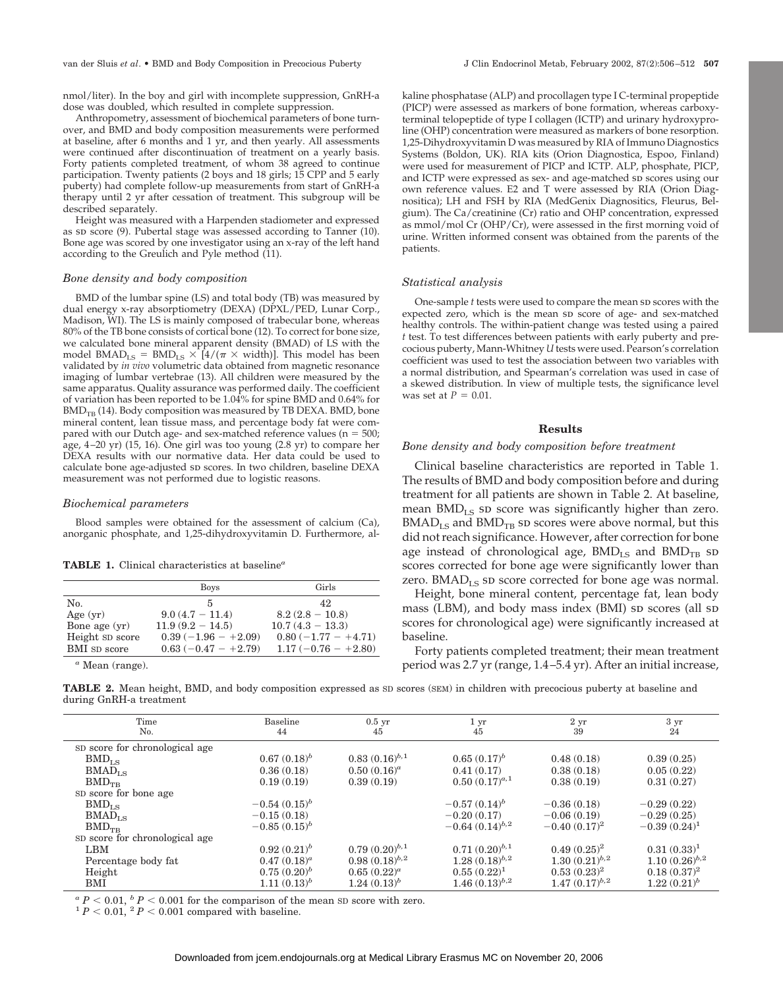van der Sluis *et al*. • BMD and Body Composition in Precocious Puberty J Clin Endocrinol Metab, February 2002, 87(2):506–512 **507**

nmol/liter). In the boy and girl with incomplete suppression, GnRH-a dose was doubled, which resulted in complete suppression.

Anthropometry, assessment of biochemical parameters of bone turnover, and BMD and body composition measurements were performed at baseline, after 6 months and 1 yr, and then yearly. All assessments were continued after discontinuation of treatment on a yearly basis. Forty patients completed treatment, of whom 38 agreed to continue participation. Twenty patients (2 boys and 18 girls; 15 CPP and 5 early puberty) had complete follow-up measurements from start of GnRH-a therapy until 2 yr after cessation of treatment. This subgroup will be described separately.

Height was measured with a Harpenden stadiometer and expressed as sp score  $(9)$ . Pubertal stage was assessed according to Tanner  $(10)$ . Bone age was scored by one investigator using an x-ray of the left hand according to the Greulich and Pyle method (11).

#### *Bone density and body composition*

BMD of the lumbar spine (LS) and total body (TB) was measured by dual energy x-ray absorptiometry (DEXA) (DPXL/PED, Lunar Corp., Madison, WI). The LS is mainly composed of trabecular bone, whereas 80% of the TB bone consists of cortical bone (12). To correct for bone size, we calculated bone mineral apparent density (BMAD) of LS with the model  $B\text{MAD}_{LS} = B\text{MD}_{LS} \times [4/(\pi \times \text{width})]$ . This model has been validated by *in vivo* volumetric data obtained from magnetic resonance imaging of lumbar vertebrae (13). All children were measured by the same apparatus. Quality assurance was performed daily. The coefficient of variation has been reported to be 1.04% for spine BMD and 0.64% for  $BMD_{TR}$  (14). Body composition was measured by TB DEXA. BMD, bone mineral content, lean tissue mass, and percentage body fat were compared with our Dutch age- and sex-matched reference values ( $n = 500$ ; age, 4–20 yr) (15, 16). One girl was too young (2.8 yr) to compare her DEXA results with our normative data. Her data could be used to calculate bone age-adjusted sp scores. In two children, baseline DEXA measurement was not performed due to logistic reasons.

## *Biochemical parameters*

Blood samples were obtained for the assessment of calcium (Ca), anorganic phosphate, and 1,25-dihydroxyvitamin D. Furthermore, al-

| <b>TABLE 1.</b> Clinical characteristics at baseline <sup><math>a</math></sup> |  |
|--------------------------------------------------------------------------------|--|
|--------------------------------------------------------------------------------|--|

|                 | <b>Boys</b>           | Girls                 |
|-----------------|-----------------------|-----------------------|
| No.             | 5                     | 42                    |
| Age $(yr)$      | $9.0(4.7 - 11.4)$     | $8.2(2.8-10.8)$       |
| Bone age $(yr)$ | $11.9(9.2 - 14.5)$    | $10.7(4.3 - 13.3)$    |
| Height SD score | $0.39(-1.96 - +2.09)$ | $0.80(-1.77 - +4.71)$ |
| BMI SD score    | $0.63(-0.47 - +2.79)$ | $1.17(-0.76 - +2.80)$ |

*<sup>a</sup>* Mean (range).

kaline phosphatase (ALP) and procollagen type I C-terminal propeptide (PICP) were assessed as markers of bone formation, whereas carboxyterminal telopeptide of type I collagen (ICTP) and urinary hydroxyproline (OHP) concentration were measured as markers of bone resorption. 1,25-Dihydroxyvitamin D was measured by RIA of Immuno Diagnostics Systems (Boldon, UK). RIA kits (Orion Diagnostica, Espoo, Finland) were used for measurement of PICP and ICTP. ALP, phosphate, PICP, and ICTP were expressed as sex- and age-matched sp scores using our own reference values. E2 and T were assessed by RIA (Orion Diagnositica); LH and FSH by RIA (MedGenix Diagnositics, Fleurus, Belgium). The Ca/creatinine (Cr) ratio and OHP concentration, expressed as mmol/mol Cr (OHP/Cr), were assessed in the first morning void of urine. Written informed consent was obtained from the parents of the patients.

## *Statistical analysis*

One-sample *t* tests were used to compare the mean sp scores with the expected zero, which is the mean sp score of age- and sex-matched healthy controls. The within-patient change was tested using a paired *t* test. To test differences between patients with early puberty and precocious puberty, Mann-Whitney *U* tests were used. Pearson's correlation coefficient was used to test the association between two variables with a normal distribution, and Spearman's correlation was used in case of a skewed distribution. In view of multiple tests, the significance level was set at  $P = 0.01$ .

## **Results**

## *Bone density and body composition before treatment*

Clinical baseline characteristics are reported in Table 1. The results of BMD and body composition before and during treatment for all patients are shown in Table 2. At baseline, mean  $BMD_{LS}$  sp score was significantly higher than zero.  $B\text{MAD}_{LS}$  and  $B\text{MD}_{TB}$  sp scores were above normal, but this did not reach significance. However, after correction for bone age instead of chronological age,  $BMD_{LS}$  and  $BMD_{TB}$  sp scores corrected for bone age were significantly lower than zero.  $B\text{MAD}_{LS}$  sp score corrected for bone age was normal.

Height, bone mineral content, percentage fat, lean body mass (LBM), and body mass index (BMI) sp scores (all sp scores for chronological age) were significantly increased at baseline.

Forty patients completed treatment; their mean treatment period was 2.7 yr (range, 1.4–5.4 yr). After an initial increase,

**TABLE 2.** Mean height, BMD, and body composition expressed as SD scores (SEM) in children with precocious puberty at baseline and during GnRH-a treatment

| Time                           | Baseline          | $0.5$ yr           | $1 \mathrm{yr}$     | 2 <sub>yr</sub>    | 3 yr                 |
|--------------------------------|-------------------|--------------------|---------------------|--------------------|----------------------|
| No.                            | 44                | 45                 | 45                  | 39                 | 24                   |
| SD score for chronological age |                   |                    |                     |                    |                      |
| $BMD_{LS}$                     | $0.67(0.18)^b$    | $0.83(0.16)^{b.1}$ | $0.65(0.17)^b$      | 0.48(0.18)         | 0.39(0.25)           |
| $B\text{MAD}_{LS}$             | 0.36(0.18)        | $0.50(0.16)^a$     | 0.41(0.17)          | 0.38(0.18)         | 0.05(0.22)           |
| $BMD_{TB}$                     | 0.19(0.19)        | 0.39(0.19)         | $0.50(0.17)^{a,1}$  | 0.38(0.19)         | 0.31(0.27)           |
| SD score for bone age          |                   |                    |                     |                    |                      |
| $BMD_{LS}$                     | $-0.54(0.15)^{b}$ |                    | $-0.57(0.14)^{b}$   | $-0.36(0.18)$      | $-0.29(0.22)$        |
| $BMAD_{LS}$                    | $-0.15(0.18)$     |                    | $-0.20(0.17)$       | $-0.06(0.19)$      | $-0.29(0.25)$        |
| $BMD_{TR}$                     | $-0.85(0.15)^{b}$ |                    | $-0.64(0.14)^{b.2}$ | $-0.40(0.17)^2$    | $-0.39(0.24)^{1}$    |
| SD score for chronological age |                   |                    |                     |                    |                      |
| LBM                            | $0.92(0.21)^b$    | $0.79(0.20)^{b.1}$ | $0.71(0.20)^{b.1}$  | $0.49(0.25)^2$     | $0.31(0.33)^1$       |
| Percentage body fat            | $0.47(0.18)^a$    | $0.98(0.18)^{b.2}$ | $1.28(0.18)^{b.2}$  | $1.30(0.21)^{b.2}$ | $1.10\ (0.26)^{b.2}$ |
| Height                         | $0.75(0.20)^b$    | $0.65(0.22)^a$     | $0.55(0.22)^1$      | $0.53(0.23)^2$     | $0.18(0.37)^2$       |
| BMI                            | $1.11(0.13)^b$    | $1.24(0.13)^b$     | $1.46(0.13)^{b.2}$  | $1.47(0.17)^{b.2}$ | $1.22 (0.21)^b$      |

 ${}^{a}P$  < 0.01,  ${}^{b}P$  < 0.001 for the comparison of the mean SD score with zero. 1 *P* < 0.01, <sup>2</sup> *P* < 0.001 compared with baseline.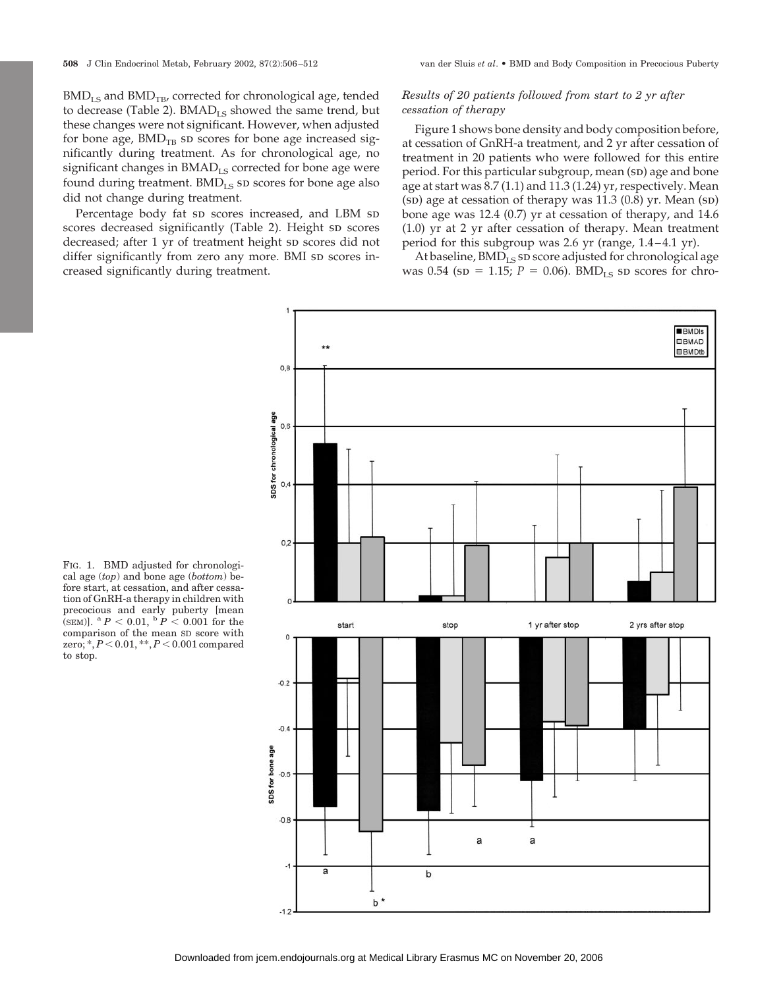$BMD_{LS}$  and  $BMD_{TB}$ , corrected for chronological age, tended to decrease (Table 2).  $B\text{MAD}_{LS}$  showed the same trend, but these changes were not significant. However, when adjusted for bone age,  $BMD_{TB}$  sp scores for bone age increased significantly during treatment. As for chronological age, no significant changes in BMAD<sub>LS</sub> corrected for bone age were found during treatment. BMD<sub>LS</sub> sD scores for bone age also did not change during treatment.

Percentage body fat sp scores increased, and LBM sp scores decreased significantly (Table 2). Height sp scores decreased; after 1 yr of treatment height sp scores did not differ significantly from zero any more. BMI sp scores increased significantly during treatment.

## *Results of 20 patients followed from start to 2 yr after cessation of therapy*

Figure 1 shows bone density and body composition before, at cessation of GnRH-a treatment, and 2 yr after cessation of treatment in 20 patients who were followed for this entire period. For this particular subgroup, mean (sp) age and bone age at start was 8.7 (1.1) and 11.3 (1.24) yr, respectively. Mean  $(SD)$  age at cessation of therapy was 11.3  $(0.8)$  yr. Mean  $(SD)$ bone age was 12.4 (0.7) yr at cessation of therapy, and 14.6 (1.0) yr at 2 yr after cessation of therapy. Mean treatment period for this subgroup was 2.6 yr (range, 1.4–4.1 yr).

At baseline,  $BMD_{LS}$  sp score adjusted for chronological age was  $0.54$  (sp = 1.15;  $P = 0.06$ ). BMD<sub>LS</sub> sp scores for chro-



FIG. 1. BMD adjusted for chronological age (*top*) and bone age (*bottom*) before start, at cessation, and after cessation of GnRH-a therapy in children with precocious and early puberty [mean  $(SEM)$ ]. <sup>a</sup>  $P < 0.01$ , <sup>b</sup>  $P < 0.001$  for the comparison of the mean SD score with zero; \*,  $P < 0.01$ , \*\*,  $P < 0.001$  compared to stop.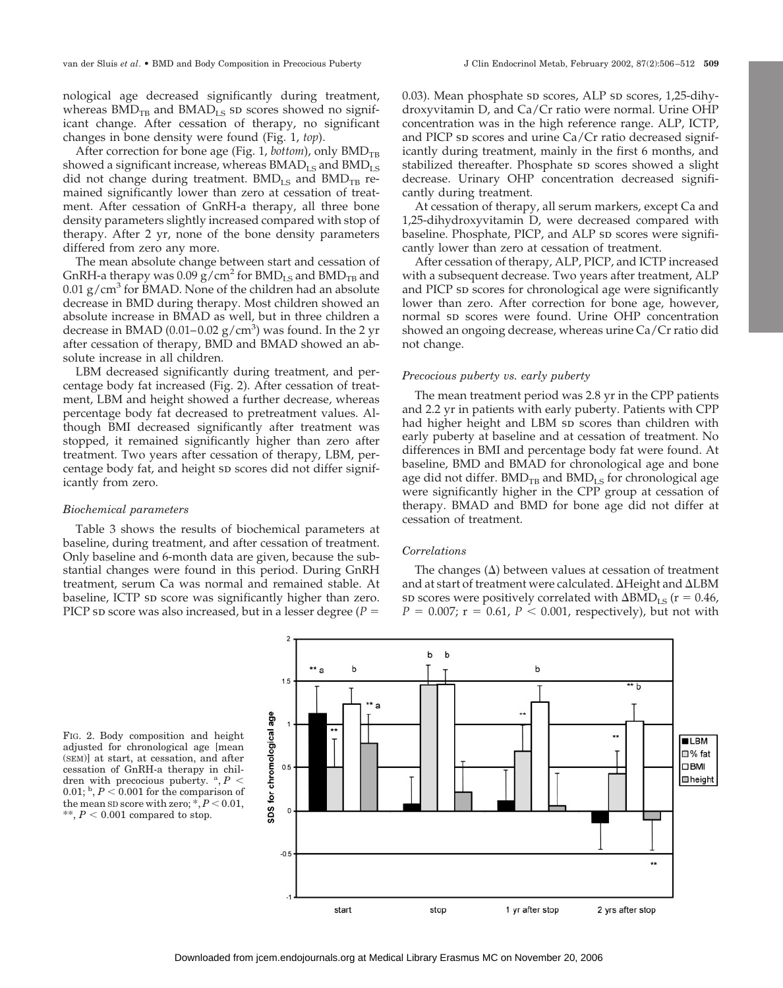nological age decreased significantly during treatment, whereas  $BMD_{TB}$  and  $BMAD_{LS}$  sp scores showed no significant change. After cessation of therapy, no significant changes in bone density were found (Fig. 1, *top*).

After correction for bone age (Fig. 1, *bottom*), only  $BMD_{TR}$ showed a significant increase, whereas  $B\text{MAD}_{LS}$  and  $B\text{MD}_{LS}$ did not change during treatment.  $BMD_{LS}$  and  $BMD_{TB}$  remained significantly lower than zero at cessation of treatment. After cessation of GnRH-a therapy, all three bone density parameters slightly increased compared with stop of therapy. After 2 yr, none of the bone density parameters differed from zero any more.

The mean absolute change between start and cessation of GnRH-a therapy was 0.09  $g/cm^2$  for BMD<sub>LS</sub> and BMD<sub>TB</sub> and 0.01  $\rm g/cm^3$  for BMAD. None of the children had an absolute decrease in BMD during therapy. Most children showed an absolute increase in BMAD as well, but in three children a decrease in BMAD  $(0.01-0.02 \text{ g/cm}^3)$  was found. In the 2 yr after cessation of therapy, BMD and BMAD showed an absolute increase in all children.

LBM decreased significantly during treatment, and percentage body fat increased (Fig. 2). After cessation of treatment, LBM and height showed a further decrease, whereas percentage body fat decreased to pretreatment values. Although BMI decreased significantly after treatment was stopped, it remained significantly higher than zero after treatment. Two years after cessation of therapy, LBM, percentage body fat, and height sp scores did not differ significantly from zero.

## *Biochemical parameters*

Table 3 shows the results of biochemical parameters at baseline, during treatment, and after cessation of treatment. Only baseline and 6-month data are given, because the substantial changes were found in this period. During GnRH treatment, serum Ca was normal and remained stable. At baseline, ICTP sp score was significantly higher than zero. PICP sp score was also increased, but in a lesser degree ( $P =$ 

0.03). Mean phosphate sp scores, ALP sp scores,  $1,25$ -dihydroxyvitamin D, and Ca/Cr ratio were normal. Urine OHP concentration was in the high reference range. ALP, ICTP, and PICP sp scores and urine  $Ca/Cr$  ratio decreased significantly during treatment, mainly in the first 6 months, and stabilized thereafter. Phosphate sp scores showed a slight decrease. Urinary OHP concentration decreased significantly during treatment.

At cessation of therapy, all serum markers, except Ca and 1,25-dihydroxyvitamin D, were decreased compared with baseline. Phosphate, PICP, and ALP sp scores were significantly lower than zero at cessation of treatment.

After cessation of therapy, ALP, PICP, and ICTP increased with a subsequent decrease. Two years after treatment, ALP and PICP sp scores for chronological age were significantly lower than zero. After correction for bone age, however, normal sp scores were found. Urine OHP concentration showed an ongoing decrease, whereas urine Ca/Cr ratio did not change.

## *Precocious puberty vs. early puberty*

The mean treatment period was 2.8 yr in the CPP patients and 2.2 yr in patients with early puberty. Patients with CPP had higher height and LBM sp scores than children with early puberty at baseline and at cessation of treatment. No differences in BMI and percentage body fat were found. At baseline, BMD and BMAD for chronological age and bone age did not differ.  $BMD_{TB}$  and  $BMD_{LS}$  for chronological age were significantly higher in the CPP group at cessation of therapy. BMAD and BMD for bone age did not differ at cessation of treatment.

## *Correlations*

The changes  $(\Delta)$  between values at cessation of treatment and at start of treatment were calculated.  $\Delta$ Height and  $\Delta$ LBM so scores were positively correlated with  $\Delta\text{BMD}_{\text{LS}}$  (r = 0.46,  $P = 0.007$ ;  $r = 0.61$ ,  $P < 0.001$ , respectively), but not with



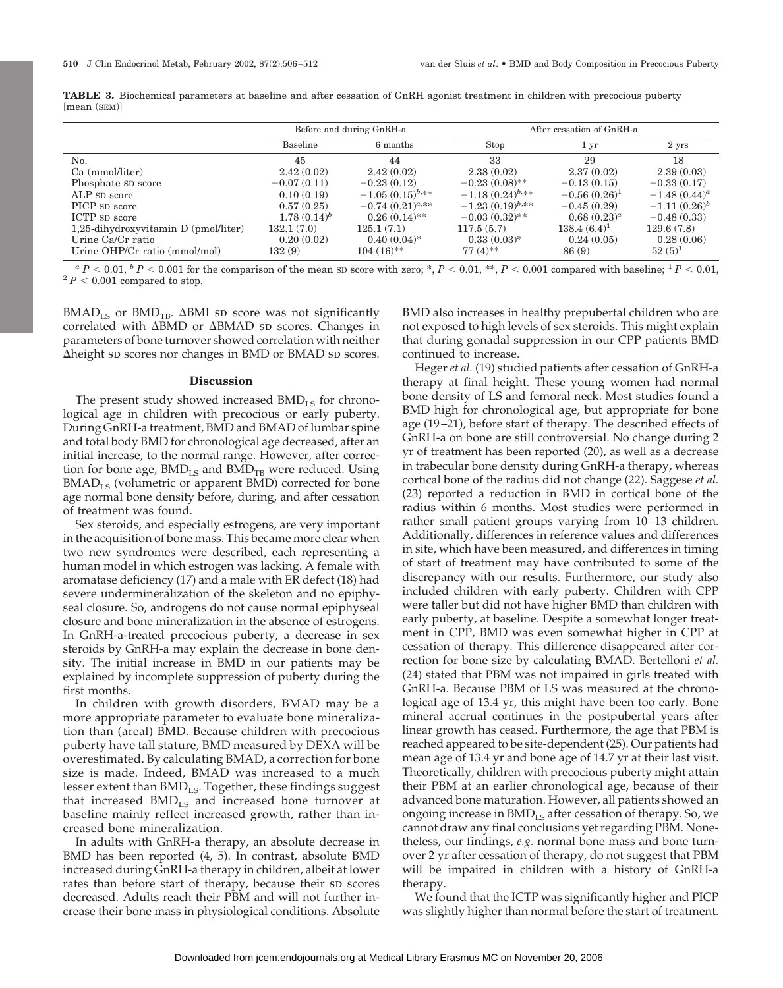|                                         | Before and during GnRH-a |                      | After cessation of GnRH-a |                   |                 |
|-----------------------------------------|--------------------------|----------------------|---------------------------|-------------------|-----------------|
|                                         | <b>Baseline</b>          | 6 months             | Stop                      | 1 yr              | 2 yrs           |
| No.                                     | 45                       | 44                   | 33                        | 29                | 18              |
| Ca (mmol/liter)                         | 2.42(0.02)               | 2.42(0.02)           | 2.38(0.02)                | 2.37(0.02)        | 2.39(0.03)      |
| Phosphate SD score                      | $-0.07(0.11)$            | $-0.23(0.12)$        | $-0.23(0.08)$ **          | $-0.13(0.15)$     | $-0.33(0.17)$   |
| ALP SD score                            | 0.10(0.19)               | $-1.05(0.15)^{b,**}$ | $-1.18(0.24)^{b,**}$      | $-0.56(0.26)^{1}$ | $-1.48(0.44)^a$ |
| PICP SD score                           | 0.57(0.25)               | $-0.74(0.21)^{a,**}$ | $-1.23(0.19)^{b,**}$      | $-0.45(0.29)$     | $-1.11(0.26)^b$ |
| ICTP sp score                           | $1.78(0.14)^b$           | $0.26(0.14)$ **      | $-0.03(0.32)$ **          | $0.68(0.23)^a$    | $-0.48(0.33)$   |
| $1,25$ -dihydroxyvitamin D (pmol/liter) | 132.1(7.0)               | 125.1(7.1)           | 117.5(5.7)                | $138.4(6.4)^1$    | 129.6(7.8)      |
| Urine Ca/Cr ratio                       | 0.20(0.02)               | $0.40(0.04)$ *       | $0.33(0.03)$ *            | 0.24(0.05)        | 0.28(0.06)      |
| Urine OHP/Cr ratio (mmol/mol)           | 132(9)                   | $104(16)$ **         | $77(4)$ **                | 86(9)             | $52(5)^1$       |

**TABLE 3.** Biochemical parameters at baseline and after cessation of GnRH agonist treatment in children with precocious puberty [mean (SEM)]

 ${}^aP$  < 0.01,  ${}^bP$  < 0.001 for the comparison of the mean SD score with zero; \*, *P* < 0.01, \*\*, *P* < 0.001 compared with baseline; <sup>1</sup> *P* < 0.01, <sup>2</sup> *P* < 0.001 compared to stop.

 $B\text{MAD}_{LS}$  or  $B\text{MD}_{TB}$ .  $\Delta B\text{MI}$  sp score was not significantly correlated with  $\Delta$ BMD or  $\Delta$ BMAD sp scores. Changes in parameters of bone turnover showed correlation with neither  $\Delta$ height s $\Delta$  scores nor changes in BMD or BMAD sp scores.

#### **Discussion**

The present study showed increased  $BMD_{LS}$  for chronological age in children with precocious or early puberty. During GnRH-a treatment, BMD and BMAD of lumbar spine and total body BMD for chronological age decreased, after an initial increase, to the normal range. However, after correction for bone age,  $BMD_{LS}$  and  $BMD_{TB}$  were reduced. Using  $B\text{MAD}_{LS}$  (volumetric or apparent BMD) corrected for bone age normal bone density before, during, and after cessation of treatment was found.

Sex steroids, and especially estrogens, are very important in the acquisition of bone mass. This became more clear when two new syndromes were described, each representing a human model in which estrogen was lacking. A female with aromatase deficiency (17) and a male with ER defect (18) had severe undermineralization of the skeleton and no epiphyseal closure. So, androgens do not cause normal epiphyseal closure and bone mineralization in the absence of estrogens. In GnRH-a-treated precocious puberty, a decrease in sex steroids by GnRH-a may explain the decrease in bone density. The initial increase in BMD in our patients may be explained by incomplete suppression of puberty during the first months.

In children with growth disorders, BMAD may be a more appropriate parameter to evaluate bone mineralization than (areal) BMD. Because children with precocious puberty have tall stature, BMD measured by DEXA will be overestimated. By calculating BMAD, a correction for bone size is made. Indeed, BMAD was increased to a much lesser extent than  $BMD_{LS}$ . Together, these findings suggest that increased  $BMD_{LS}$  and increased bone turnover at baseline mainly reflect increased growth, rather than increased bone mineralization.

In adults with GnRH-a therapy, an absolute decrease in BMD has been reported (4, 5). In contrast, absolute BMD increased during GnRH-a therapy in children, albeit at lower rates than before start of therapy, because their sp scores decreased. Adults reach their PBM and will not further increase their bone mass in physiological conditions. Absolute

BMD also increases in healthy prepubertal children who are not exposed to high levels of sex steroids. This might explain that during gonadal suppression in our CPP patients BMD continued to increase.

Heger *et al.* (19) studied patients after cessation of GnRH-a therapy at final height. These young women had normal bone density of LS and femoral neck. Most studies found a BMD high for chronological age, but appropriate for bone age (19–21), before start of therapy. The described effects of GnRH-a on bone are still controversial. No change during 2 yr of treatment has been reported (20), as well as a decrease in trabecular bone density during GnRH-a therapy, whereas cortical bone of the radius did not change (22). Saggese *et al.* (23) reported a reduction in BMD in cortical bone of the radius within 6 months. Most studies were performed in rather small patient groups varying from 10–13 children. Additionally, differences in reference values and differences in site, which have been measured, and differences in timing of start of treatment may have contributed to some of the discrepancy with our results. Furthermore, our study also included children with early puberty. Children with CPP were taller but did not have higher BMD than children with early puberty, at baseline. Despite a somewhat longer treatment in CPP, BMD was even somewhat higher in CPP at cessation of therapy. This difference disappeared after correction for bone size by calculating BMAD. Bertelloni *et al.* (24) stated that PBM was not impaired in girls treated with GnRH-a. Because PBM of LS was measured at the chronological age of 13.4 yr, this might have been too early. Bone mineral accrual continues in the postpubertal years after linear growth has ceased. Furthermore, the age that PBM is reached appeared to be site-dependent (25). Our patients had mean age of 13.4 yr and bone age of 14.7 yr at their last visit. Theoretically, children with precocious puberty might attain their PBM at an earlier chronological age, because of their advanced bone maturation. However, all patients showed an ongoing increase in  $BMD_{LS}$  after cessation of therapy. So, we cannot draw any final conclusions yet regarding PBM. Nonetheless, our findings, *e.g.* normal bone mass and bone turnover 2 yr after cessation of therapy, do not suggest that PBM will be impaired in children with a history of GnRH-a therapy.

We found that the ICTP was significantly higher and PICP was slightly higher than normal before the start of treatment.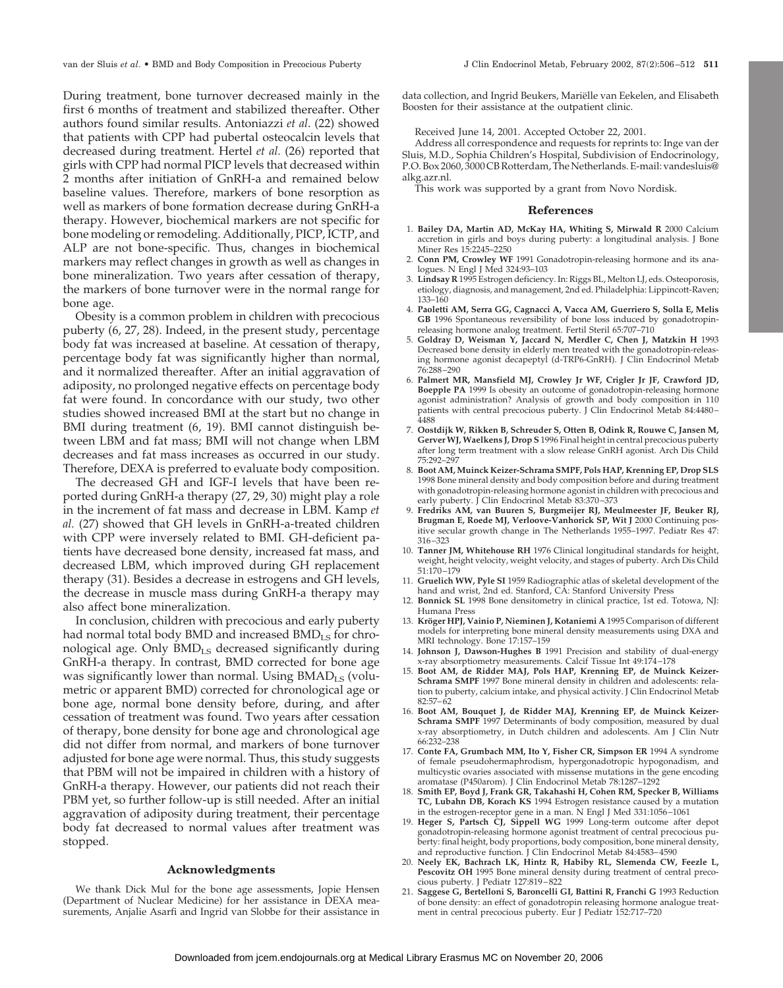During treatment, bone turnover decreased mainly in the first 6 months of treatment and stabilized thereafter. Other authors found similar results. Antoniazzi *et al*. (22) showed that patients with CPP had pubertal osteocalcin levels that decreased during treatment. Hertel *et al.* (26) reported that girls with CPP had normal PICP levels that decreased within 2 months after initiation of GnRH-a and remained below baseline values. Therefore, markers of bone resorption as well as markers of bone formation decrease during GnRH-a therapy. However, biochemical markers are not specific for bone modeling or remodeling. Additionally, PICP, ICTP, and ALP are not bone-specific. Thus, changes in biochemical markers may reflect changes in growth as well as changes in bone mineralization. Two years after cessation of therapy, the markers of bone turnover were in the normal range for bone age.

Obesity is a common problem in children with precocious puberty (6, 27, 28). Indeed, in the present study, percentage body fat was increased at baseline. At cessation of therapy, percentage body fat was significantly higher than normal, and it normalized thereafter. After an initial aggravation of adiposity, no prolonged negative effects on percentage body fat were found. In concordance with our study, two other studies showed increased BMI at the start but no change in BMI during treatment (6, 19). BMI cannot distinguish between LBM and fat mass; BMI will not change when LBM decreases and fat mass increases as occurred in our study. Therefore, DEXA is preferred to evaluate body composition.

The decreased GH and IGF-I levels that have been reported during GnRH-a therapy (27, 29, 30) might play a role in the increment of fat mass and decrease in LBM. Kamp *et al.* (27) showed that GH levels in GnRH-a-treated children with CPP were inversely related to BMI. GH-deficient patients have decreased bone density, increased fat mass, and decreased LBM, which improved during GH replacement therapy (31). Besides a decrease in estrogens and GH levels, the decrease in muscle mass during GnRH-a therapy may also affect bone mineralization.

In conclusion, children with precocious and early puberty had normal total body BMD and increased  $BMD_{LS}$  for chronological age. Only BMD<sub>LS</sub> decreased significantly during GnRH-a therapy. In contrast, BMD corrected for bone age was significantly lower than normal. Using  $B\text{MAD}_{LS}$  (volumetric or apparent BMD) corrected for chronological age or bone age, normal bone density before, during, and after cessation of treatment was found. Two years after cessation of therapy, bone density for bone age and chronological age did not differ from normal, and markers of bone turnover adjusted for bone age were normal. Thus, this study suggests that PBM will not be impaired in children with a history of GnRH-a therapy. However, our patients did not reach their PBM yet, so further follow-up is still needed. After an initial aggravation of adiposity during treatment, their percentage body fat decreased to normal values after treatment was stopped.

## **Acknowledgments**

We thank Dick Mul for the bone age assessments, Jopie Hensen (Department of Nuclear Medicine) for her assistance in DEXA measurements, Anjalie Asarfi and Ingrid van Slobbe for their assistance in data collection, and Ingrid Beukers, Mariëlle van Eekelen, and Elisabeth Boosten for their assistance at the outpatient clinic.

Received June 14, 2001. Accepted October 22, 2001.

Address all correspondence and requests for reprints to: Inge van der Sluis, M.D., Sophia Children's Hospital, Subdivision of Endocrinology, P.O. Box 2060, 3000 CB Rotterdam, The Netherlands. E-mail: vandesluis@ alkg.azr.nl.

This work was supported by a grant from Novo Nordisk.

### **References**

- 1. **Bailey DA, Martin AD, McKay HA, Whiting S, Mirwald R** 2000 Calcium accretion in girls and boys during puberty: a longitudinal analysis. J Bone Miner Res 15:2245–2250
- 2. **Conn PM, Crowley WF** 1991 Gonadotropin-releasing hormone and its analogues. N Engl J Med 324:93–103
- 3. **Lindsay R** 1995 Estrogen deficiency. In: Riggs BL, Melton LJ, eds. Osteoporosis, etiology, diagnosis, and management, 2nd ed. Philadelphia: Lippincott-Raven; 133–160
- 4. **Paoletti AM, Serra GG, Cagnacci A, Vacca AM, Guerriero S, Solla E, Melis GB** 1996 Spontaneous reversibility of bone loss induced by gonadotropinreleasing hormone analog treatment. Fertil Steril 65:707–710
- 5. **Goldray D, Weisman Y, Jaccard N, Merdler C, Chen J, Matzkin H** 1993 Decreased bone density in elderly men treated with the gonadotropin-releasing hormone agonist decapeptyl (d-TRP6-GnRH). J Clin Endocrinol Metab 76:288–290
- 6. **Palmert MR, Mansfield MJ, Crowley Jr WF, Crigler Jr JF, Crawford JD, Boepple PA** 1999 Is obesity an outcome of gonadotropin-releasing hormone agonist administration? Analysis of growth and body composition in 110 patients with central precocious puberty. J Clin Endocrinol Metab 84:4480– 4488
- 7. **Oostdijk W, Rikken B, Schreuder S, Otten B, Odink R, Rouwe C, Jansen M, Gerver WJ, Waelkens J, Drop S** 1996 Final height in central precocious puberty after long term treatment with a slow release GnRH agonist. Arch Dis Child 75:292–297
- 8. **Boot AM, Muinck Keizer-Schrama SMPF, Pols HAP, Krenning EP, Drop SLS** 1998 Bone mineral density and body composition before and during treatment with gonadotropin-releasing hormone agonist in children with precocious and early puberty. J Clin Endocrinol Metab 83:370-373
- 9. **Fredriks AM, van Buuren S, Burgmeijer RJ, Meulmeester JF, Beuker RJ, Brugman E, Roede MJ, Verloove-Vanhorick SP, Wit J** 2000 Continuing positive secular growth change in The Netherlands 1955–1997. Pediatr Res 47: 316–323
- 10. **Tanner JM, Whitehouse RH** 1976 Clinical longitudinal standards for height, weight, height velocity, weight velocity, and stages of puberty. Arch Dis Child 51:170–179
- 11. **Gruelich WW, Pyle SI** 1959 Radiographic atlas of skeletal development of the hand and wrist, 2nd ed. Stanford, CA: Stanford University Press
- 12. **Bonnick SL** 1998 Bone densitometry in clinical practice, 1st ed. Totowa, NJ: Humana Press
- 13. Kröger HPJ, Vainio P, Nieminen J, Kotaniemi A 1995 Comparison of different models for interpreting bone mineral density measurements using DXA and MRI technology. Bone 17:157–159
- 14. **Johnson J, Dawson-Hughes B** 1991 Precision and stability of dual-energy x-ray absorptiometry measurements. Calcif Tissue Int 49:174–178
- 15. **Boot AM, de Ridder MAJ, Pols HAP, Krenning EP, de Muinck Keizer-Schrama SMPF** 1997 Bone mineral density in children and adolescents: relation to puberty, calcium intake, and physical activity. J Clin Endocrinol Metab 82:57–62
- 16. **Boot AM, Bouquet J, de Ridder MAJ, Krenning EP, de Muinck Keizer-Schrama SMPF** 1997 Determinants of body composition, measured by dual x-ray absorptiometry, in Dutch children and adolescents. Am J Clin Nutr 66:232–238
- 17. **Conte FA, Grumbach MM, Ito Y, Fisher CR, Simpson ER** 1994 A syndrome of female pseudohermaphrodism, hypergonadotropic hypogonadism, and multicystic ovaries associated with missense mutations in the gene encoding aromatase (P450arom). J Clin Endocrinol Metab 78:1287–1292
- 18. **Smith EP, Boyd J, Frank GR, Takahashi H, Cohen RM, Specker B, Williams TC, Lubahn DB, Korach KS** 1994 Estrogen resistance caused by a mutation in the estrogen-receptor gene in a man. N Engl J Med 331:1056–1061
- 19. **Heger S, Partsch CJ, Sippell WG** 1999 Long-term outcome after depot gonadotropin-releasing hormone agonist treatment of central precocious puberty: final height, body proportions, body composition, bone mineral density, and reproductive function. J Clin Endocrinol Metab 84:4583–4590
- 20. **Neely EK, Bachrach LK, Hintz R, Habiby RL, Slemenda CW, Feezle L, Pescovitz OH** 1995 Bone mineral density during treatment of central precocious puberty. J Pediatr 127:819–822
- 21. **Saggese G, Bertelloni S, Baroncelli GI, Battini R, Franchi G** 1993 Reduction of bone density: an effect of gonadotropin releasing hormone analogue treatment in central precocious puberty. Eur J Pediatr 152:717–720